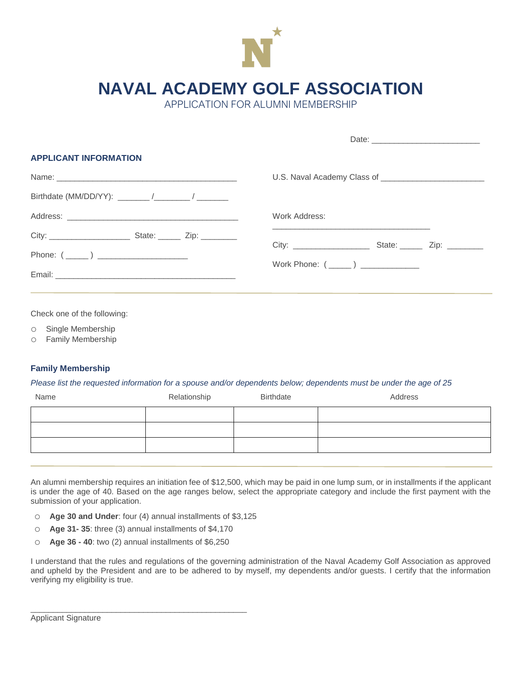

**NAVAL ACADEMY GOLF ASSOCIATION**

APPLICATION FOR ALUMNI MEMBERSHIP

| <b>APPLICANT INFORMATION</b>         |  |  |  |  |  |  |  |
|--------------------------------------|--|--|--|--|--|--|--|
|                                      |  |  |  |  |  |  |  |
|                                      |  |  |  |  |  |  |  |
| Work Address:                        |  |  |  |  |  |  |  |
|                                      |  |  |  |  |  |  |  |
| Work Phone: (______) _______________ |  |  |  |  |  |  |  |
|                                      |  |  |  |  |  |  |  |
|                                      |  |  |  |  |  |  |  |

Check one of the following:

o Single Membership

o Family Membership

## **Family Membership**

*Please list the requested information for a spouse and/or dependents below; dependents must be under the age of 25*

| Name | Relationship | Birthdate | Address |
|------|--------------|-----------|---------|
|      |              |           |         |
|      |              |           |         |
|      |              |           |         |
|      |              |           |         |

An alumni membership requires an initiation fee of \$12,500, which may be paid in one lump sum, or in installments if the applicant is under the age of 40. Based on the age ranges below, select the appropriate category and include the first payment with the submission of your application.

- o **Age 30 and Under**: four (4) annual installments of \$3,125
- o **Age 31- 35**: three (3) annual installments of \$4,170
- o **Age 36 - 40**: two (2) annual installments of \$6,250

\_\_\_\_\_\_\_\_\_\_\_\_\_\_\_\_\_\_\_\_\_\_\_\_\_\_\_\_\_\_\_\_\_\_\_\_\_\_\_\_\_\_\_\_\_\_\_\_

I understand that the rules and regulations of the governing administration of the Naval Academy Golf Association as approved and upheld by the President and are to be adhered to by myself, my dependents and/or guests. I certify that the information verifying my eligibility is true.